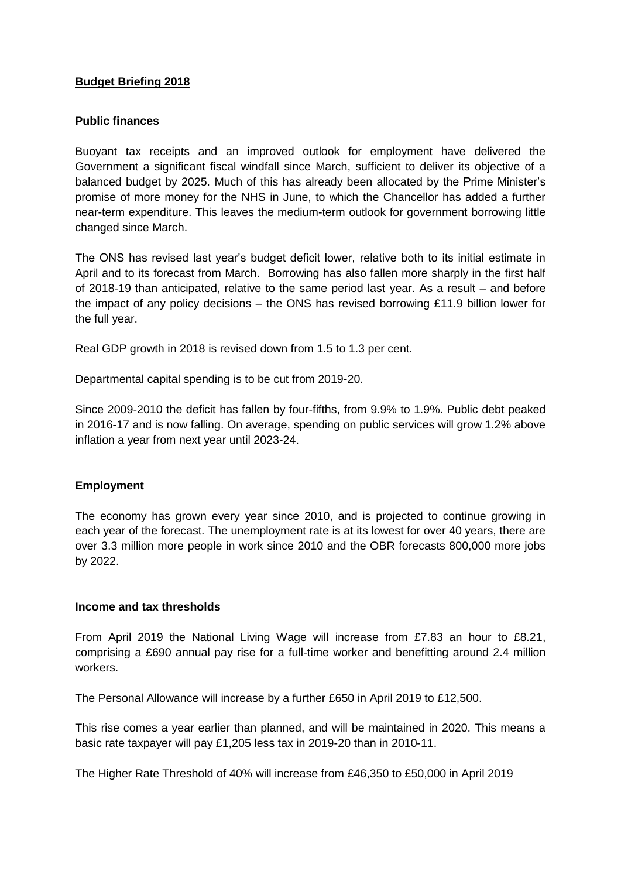## **Budget Briefing 2018**

### **Public finances**

Buoyant tax receipts and an improved outlook for employment have delivered the Government a significant fiscal windfall since March, sufficient to deliver its objective of a balanced budget by 2025. Much of this has already been allocated by the Prime Minister's promise of more money for the NHS in June, to which the Chancellor has added a further near-term expenditure. This leaves the medium-term outlook for government borrowing little changed since March.

The ONS has revised last year's budget deficit lower, relative both to its initial estimate in April and to its forecast from March. Borrowing has also fallen more sharply in the first half of 2018-19 than anticipated, relative to the same period last year. As a result – and before the impact of any policy decisions – the ONS has revised borrowing £11.9 billion lower for the full year.

Real GDP growth in 2018 is revised down from 1.5 to 1.3 per cent.

Departmental capital spending is to be cut from 2019-20.

Since 2009-2010 the deficit has fallen by four-fifths, from 9.9% to 1.9%. Public debt peaked in 2016-17 and is now falling. On average, spending on public services will grow 1.2% above inflation a year from next year until 2023-24.

### **Employment**

The economy has grown every year since 2010, and is projected to continue growing in each year of the forecast. The unemployment rate is at its lowest for over 40 years, there are over 3.3 million more people in work since 2010 and the OBR forecasts 800,000 more jobs by 2022.

#### **Income and tax thresholds**

From April 2019 the National Living Wage will increase from £7.83 an hour to £8.21, comprising a £690 annual pay rise for a full-time worker and benefitting around 2.4 million workers.

The Personal Allowance will increase by a further £650 in April 2019 to £12,500.

This rise comes a year earlier than planned, and will be maintained in 2020. This means a basic rate taxpayer will pay £1,205 less tax in 2019-20 than in 2010-11.

The Higher Rate Threshold of 40% will increase from £46,350 to £50,000 in April 2019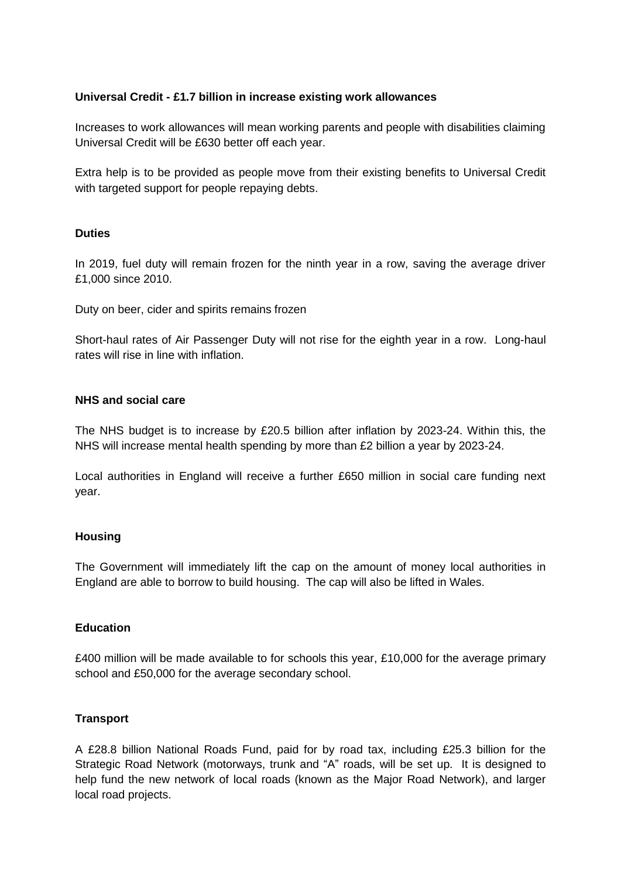## **Universal Credit - £1.7 billion in increase existing work allowances**

Increases to work allowances will mean working parents and people with disabilities claiming Universal Credit will be £630 better off each year.

Extra help is to be provided as people move from their existing benefits to Universal Credit with targeted support for people repaying debts.

### **Duties**

In 2019, fuel duty will remain frozen for the ninth year in a row, saving the average driver £1,000 since 2010.

Duty on beer, cider and spirits remains frozen

Short-haul rates of Air Passenger Duty will not rise for the eighth year in a row. Long-haul rates will rise in line with inflation.

### **NHS and social care**

The NHS budget is to increase by £20.5 billion after inflation by 2023-24. Within this, the NHS will increase mental health spending by more than £2 billion a year by 2023-24.

Local authorities in England will receive a further £650 million in social care funding next year.

#### **Housing**

The Government will immediately lift the cap on the amount of money local authorities in England are able to borrow to build housing. The cap will also be lifted in Wales.

### **Education**

£400 million will be made available to for schools this year, £10,000 for the average primary school and £50,000 for the average secondary school.

#### **Transport**

A £28.8 billion National Roads Fund, paid for by road tax, including £25.3 billion for the Strategic Road Network (motorways, trunk and "A" roads, will be set up. It is designed to help fund the new network of local roads (known as the Major Road Network), and larger local road projects.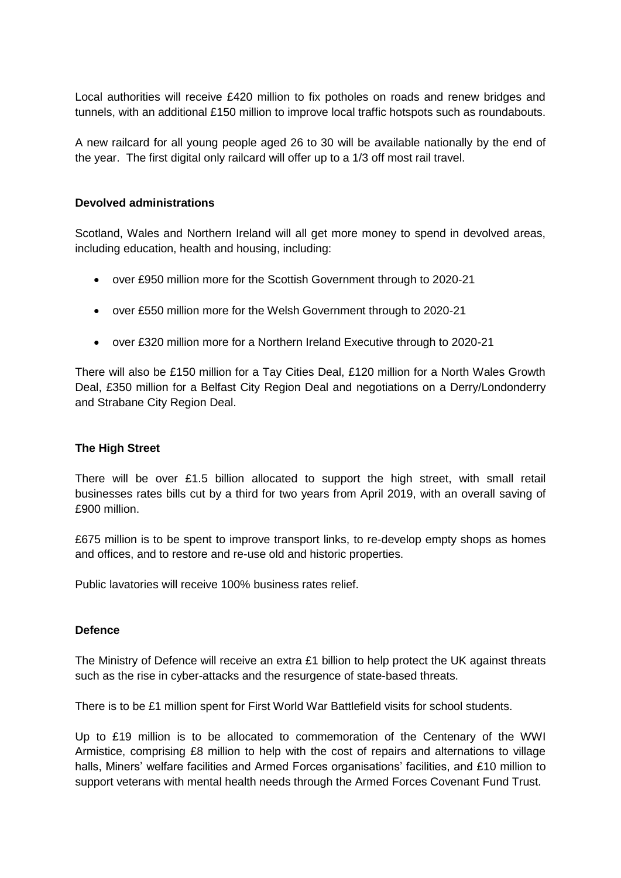Local authorities will receive £420 million to fix potholes on roads and renew bridges and tunnels, with an additional £150 million to improve local traffic hotspots such as roundabouts.

A new railcard for all young people aged 26 to 30 will be available nationally by the end of the year. The first digital only railcard will offer up to a 1/3 off most rail travel.

### **Devolved administrations**

Scotland, Wales and Northern Ireland will all get more money to spend in devolved areas, including education, health and housing, including:

- over £950 million more for the Scottish Government through to 2020-21
- over £550 million more for the Welsh Government through to 2020-21
- over £320 million more for a Northern Ireland Executive through to 2020-21

There will also be £150 million for a Tay Cities Deal, £120 million for a North Wales Growth Deal, £350 million for a Belfast City Region Deal and negotiations on a Derry/Londonderry and Strabane City Region Deal.

### **The High Street**

There will be over £1.5 billion allocated to support the high street, with small retail businesses rates bills cut by a third for two years from April 2019, with an overall saving of £900 million.

£675 million is to be spent to improve transport links, to re-develop empty shops as homes and offices, and to restore and re-use old and historic properties.

Public lavatories will receive 100% business rates relief.

### **Defence**

The Ministry of Defence will receive an extra £1 billion to help protect the UK against threats such as the rise in cyber-attacks and the resurgence of state-based threats.

There is to be £1 million spent for First World War Battlefield visits for school students.

Up to £19 million is to be allocated to commemoration of the Centenary of the WWI Armistice, comprising £8 million to help with the cost of repairs and alternations to village halls, Miners' welfare facilities and Armed Forces organisations' facilities, and £10 million to support veterans with mental health needs through the Armed Forces Covenant Fund Trust.